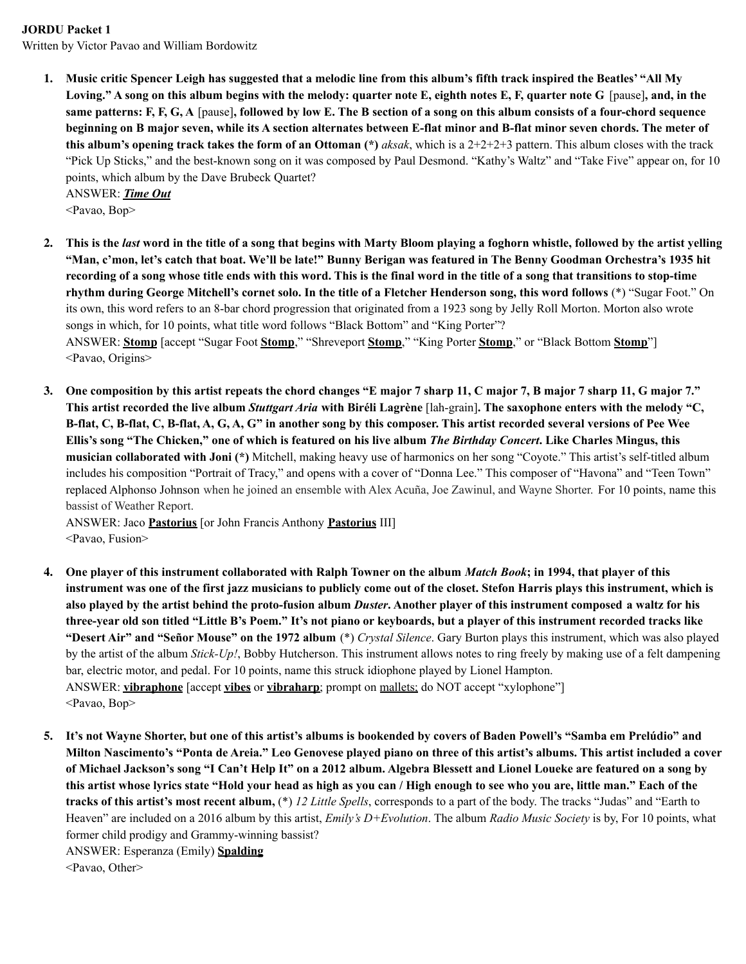## **JORDU Packet 1**

Written by Victor Pavao and William Bordowitz

1. Music critic Spencer Leigh has suggested that a melodic line from this album's fifth track inspired the Beatles' "All My Loving." A song on this album begins with the melody: quarter note E, eighth notes E, F, quarter note G [pause], and, in the same patterns: F, F, G, A [pause], followed by low E. The B section of a song on this album consists of a four-chord sequence beginning on B major seven, while its A section alternates between E-flat minor and B-flat minor seven chords. The meter of **this album's opening track takes the form of an Ottoman (\*)** *aksak*, which is a 2+2+2+3 pattern. This album closes with the track "Pick Up Sticks," and the best-known song on it was composed by Paul Desmond. "Kathy's Waltz" and "Take Five" appear on, for 10 points, which album by the Dave Brubeck Quartet?

ANSWER: *Time Out*

<Pavao, Bop>

- 2. This is the last word in the title of a song that begins with Marty Bloom playing a foghorn whistle, followed by the artist yelling "Man, c'mon, let's catch that boat. We'll be late!" Bunny Berigan was featured in The Benny Goodman Orchestra's 1935 hit recording of a song whose title ends with this word. This is the final word in the title of a song that transitions to stop-time rhythm during George Mitchell's cornet solo. In the title of a Fletcher Henderson song, this word follows (\*) "Sugar Foot." On its own, this word refers to an 8-bar chord progression that originated from a 1923 song by Jelly Roll Morton. Morton also wrote songs in which, for 10 points, what title word follows "Black Bottom" and "King Porter"? ANSWER: **Stomp** [accept "Sugar Foot **Stomp**," "Shreveport **Stomp**," "King Porter **Stomp**," or "Black Bottom **Stomp**"] <Pavao, Origins>
- 3. One composition by this artist repeats the chord changes "E major 7 sharp 11, C major 7, B major 7 sharp 11, G major 7." This artist recorded the live album Stuttgart Aria with Biréli Lagrène [lah-grain]. The saxophone enters with the melody "C, B-flat, C, B-flat, C, B-flat, A, G, A, G" in another song by this composer. This artist recorded several versions of Pee Wee Ellis's song "The Chicken," one of which is featured on his live album The Birthday Concert. Like Charles Mingus, this **musician collaborated with Joni (\*)** Mitchell, making heavy use of harmonics on her song "Coyote." This artist's self-titled album includes his composition "Portrait of Tracy," and opens with a cover of "Donna Lee." This composer of "Havona" and "Teen Town" replaced Alphonso Johnson when he joined an ensemble with Alex Acuña, Joe Zawinul, and Wayne Shorter. For 10 points, name this bassist of Weather Report.

ANSWER: Jaco **Pastorius** [or John Francis Anthony **Pastorius** III] <Pavao, Fusion>

- 4. One player of this instrument collaborated with Ralph Towner on the album Match Book; in 1994, that player of this instrument was one of the first jazz musicians to publicly come out of the closet. Stefon Harris plays this instrument, which is also played by the artist behind the proto-fusion album Duster. Another player of this instrument composed a waltz for his three-year old son titled "Little B's Poem." It's not piano or keyboards, but a player of this instrument recorded tracks like **"Desert Air" and "Señor Mouse" on the 1972 album** (\*) *Crystal Silence*. Gary Burton plays this instrument, which was also played by the artist of the album *Stick-Up!*, Bobby Hutcherson. This instrument allows notes to ring freely by making use of a felt dampening bar, electric motor, and pedal. For 10 points, name this struck idiophone played by Lionel Hampton. ANSWER: **vibraphone** [accept **vibes** or **vibraharp**; prompt on mallets; do NOT accept "xylophone"] <Pavao, Bop>
- 5. It's not Wayne Shorter, but one of this artist's albums is bookended by covers of Baden Powell's "Samba em Prelúdio" and Milton Nascimento's "Ponta de Areia." Leo Genovese played piano on three of this artist's albums. This artist included a cover of Michael Jackson's song "I Can't Help It" on a 2012 album. Algebra Blessett and Lionel Loueke are featured on a song by this artist whose lyrics state "Hold your head as high as you can / High enough to see who you are, little man." Each of the **tracks of this artist's most recent album,** (\*) *12 Little Spells*, corresponds to a part of the body. The tracks "Judas" and "Earth to Heaven" are included on a 2016 album by this artist, *Emily's D+Evolution*. The album *Radio Music Society* is by, For 10 points, what former child prodigy and Grammy-winning bassist?

ANSWER: Esperanza (Emily) **Spalding** <Pavao, Other>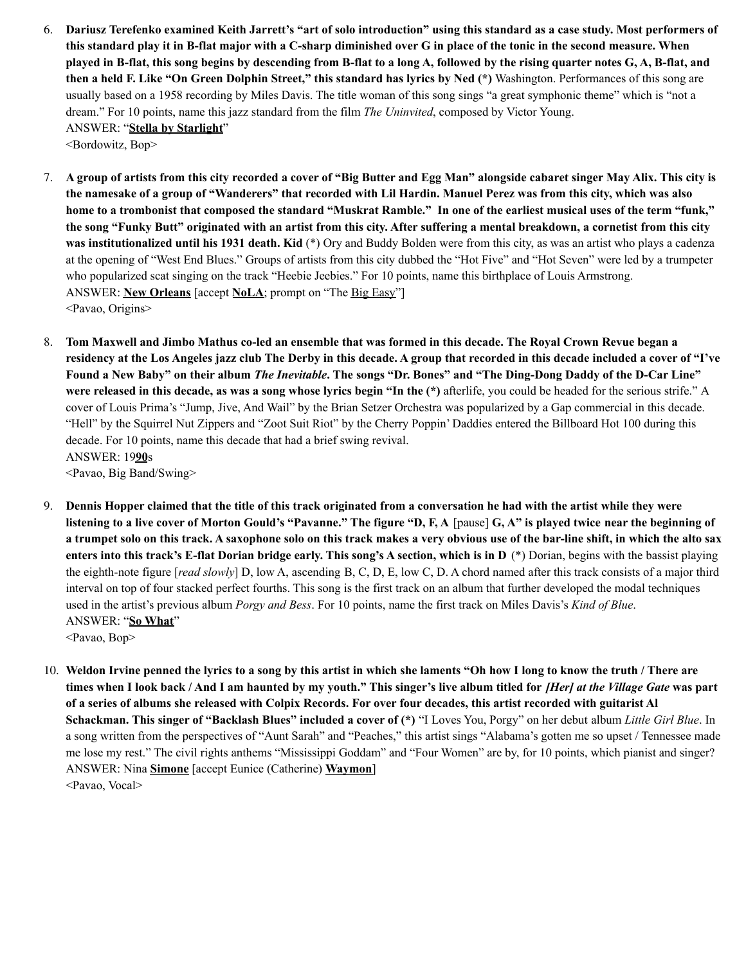- 6. Dariusz Terefenko examined Keith Jarrett's "art of solo introduction" using this standard as a case study. Most performers of this standard play it in B-flat major with a C-sharp diminished over G in place of the tonic in the second measure. When played in B-flat, this song begins by descending from B-flat to a long A, followed by the rising quarter notes G, A, B-flat, and then a held F. Like "On Green Dolphin Street," this standard has lyrics by Ned (\*) Washington. Performances of this song are usually based on a 1958 recording by Miles Davis. The title woman of this song sings "a great symphonic theme" which is "not a dream." For 10 points, name this jazz standard from the film *The Uninvited*, composed by Victor Young. ANSWER: "**Stella by Starlight**" <Bordowitz, Bop>
- 7. A group of artists from this city recorded a cover of "Big Butter and Egg Man" alongside cabaret singer May Alix. This city is the namesake of a group of "Wanderers" that recorded with Lil Hardin. Manuel Perez was from this city, which was also home to a trombonist that composed the standard "Muskrat Ramble." In one of the earliest musical uses of the term "funk," the song "Funky Butt" originated with an artist from this city. After suffering a mental breakdown, a cornetist from this city **was institutionalized until his 1931 death. Kid** (\*) Ory and Buddy Bolden were from this city, as was an artist who plays a cadenza at the opening of "West End Blues." Groups of artists from this city dubbed the "Hot Five" and "Hot Seven" were led by a trumpeter who popularized scat singing on the track "Heebie Jeebies." For 10 points, name this birthplace of Louis Armstrong. ANSWER: **New Orleans** [accept **NoLA**; prompt on "The Big Easy"] <Pavao, Origins>
- 8. Tom Maxwell and Jimbo Mathus co-led an ensemble that was formed in this decade. The Royal Crown Revue began a residency at the Los Angeles jazz club The Derby in this decade. A group that recorded in this decade included a cover of "I've Found a New Baby" on their album The Inevitable. The songs "Dr. Bones" and "The Ding-Dong Daddy of the D-Car Line" were released in this decade, as was a song whose lyrics begin "In the  $(*)$  afterlife, you could be headed for the serious strife." A cover of Louis Prima's "Jump, Jive, And Wail" by the Brian Setzer Orchestra was popularized by a Gap commercial in this decade. "Hell" by the Squirrel Nut Zippers and "Zoot Suit Riot" by the Cherry Poppin' Daddies entered the Billboard Hot 100 during this decade. For 10 points, name this decade that had a brief swing revival. ANSWER: 19**90**s <Pavao, Big Band/Swing>
- 9. Dennis Hopper claimed that the title of this track originated from a conversation he had with the artist while they were listening to a live cover of Morton Gould's "Pavanne." The figure "D, F, A [pause] G, A" is played twice near the beginning of a trumpet solo on this track. A saxophone solo on this track makes a very obvious use of the bar-line shift, in which the alto sax enters into this track's E-flat Dorian bridge early. This song's A section, which is in D  $(*)$  Dorian, begins with the bassist playing the eighth-note figure [*read slowly*] D, low A, ascending B, C, D, E, low C, D. A chord named after this track consists of a major third interval on top of four stacked perfect fourths. This song is the first track on an album that further developed the modal techniques used in the artist's previous album *Porgy and Bess*. For 10 points, name the first track on Miles Davis's *Kind of Blue*. ANSWER: "**So What**" <Pavao, Bop>
- 10. Weldon Irvine penned the lyrics to a song by this artist in which she laments "Oh how I long to know the truth / There are times when I look back / And I am haunted by my youth." This singer's live album titled for *[Her] at the Village Gate* was part of a series of albums she released with Colpix Records. For over four decades, this artist recorded with guitarist Al Schackman. This singer of "Backlash Blues" included a cover of (\*) "I Loves You, Porgy" on her debut album Little Girl Blue. In a song written from the perspectives of "Aunt Sarah" and "Peaches," this artist sings "Alabama's gotten me so upset / Tennessee made me lose my rest." The civil rights anthems "Mississippi Goddam" and "Four Women" are by, for 10 points, which pianist and singer? ANSWER: Nina **Simone** [accept Eunice (Catherine) **Waymon**] <Pavao, Vocal>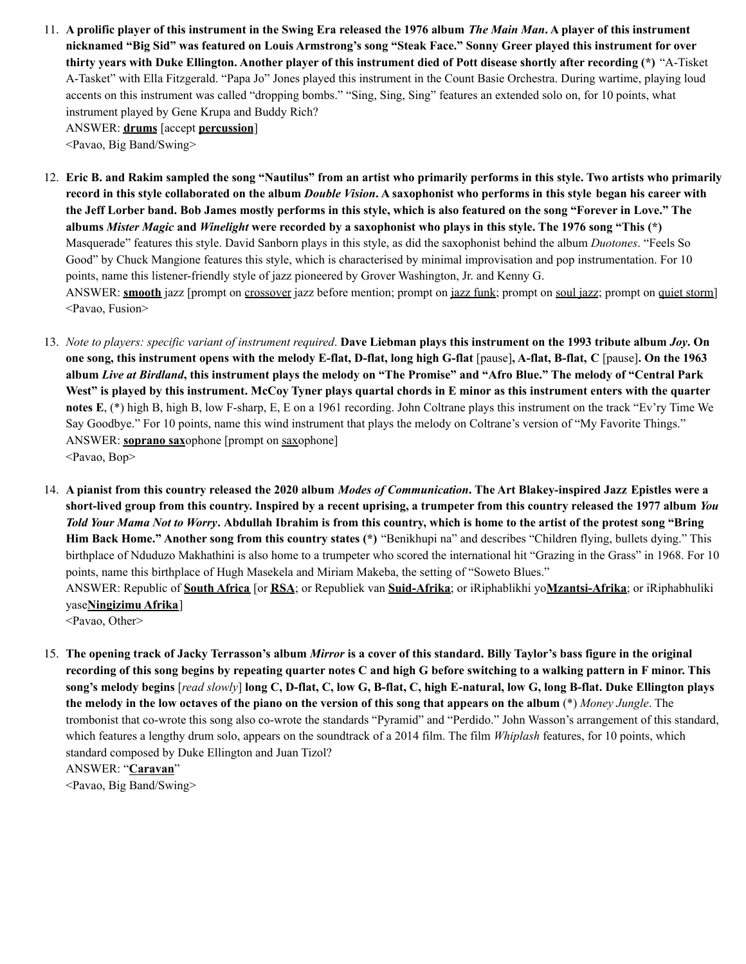11. A prolific player of this instrument in the Swing Era released the 1976 album *The Main Man*. A player of this instrument nicknamed "Big Sid" was featured on Louis Armstrong's song "Steak Face." Sonny Greer played this instrument for over thirty years with Duke Ellington. Another player of this instrument died of Pott disease shortly after recording (\*) "A-Tisket A-Tasket" with Ella Fitzgerald. "Papa Jo" Jones played this instrument in the Count Basie Orchestra. During wartime, playing loud accents on this instrument was called "dropping bombs." "Sing, Sing, Sing" features an extended solo on, for 10 points, what instrument played by Gene Krupa and Buddy Rich? ANSWER: **drums** [accept **percussion**]

<Pavao, Big Band/Swing>

- 12. Eric B. and Rakim sampled the song "Nautilus" from an artist who primarily performs in this style. Two artists who primarily record in this style collaborated on the album Double Vision. A saxophonist who performs in this style began his career with the Jeff Lorber band. Bob James mostly performs in this style, which is also featured on the song "Forever in Love." The albums Mister Magic and Winelight were recorded by a saxophonist who plays in this style. The 1976 song "This (\*) Masquerade" features this style. David Sanborn plays in this style, as did the saxophonist behind the album *Duotones*. "Feels So Good" by Chuck Mangione features this style, which is characterised by minimal improvisation and pop instrumentation. For 10 points, name this listener-friendly style of jazz pioneered by Grover Washington, Jr. and Kenny G. ANSWER: **smooth** jazz [prompt on crossover jazz before mention; prompt on <u>jazz funk</u>; prompt on soul jazz; prompt on quiet storm] <Pavao, Fusion>
- 13. Note to players: specific variant of instrument required. Dave Liebman plays this instrument on the 1993 tribute album Joy. On one song, this instrument opens with the melody E-flat, D-flat, long high G-flat [pause], A-flat, B-flat, C [pause]. On the 1963 album Live at Birdland, this instrument plays the melody on "The Promise" and "Afro Blue." The melody of "Central Park West" is played by this instrument. McCoy Tyner plays quartal chords in E minor as this instrument enters with the quarter **notes E**, (\*) high B, high B, low F-sharp, E, E on a 1961 recording. John Coltrane plays this instrument on the track "Ev'ry Time We Say Goodbye." For 10 points, name this wind instrument that plays the melody on Coltrane's version of "My Favorite Things." ANSWER: **soprano sax**ophone [prompt on saxophone] <Pavao, Bop>
- 14. A pianist from this country released the 2020 album Modes of Communication. The Art Blakey-inspired Jazz Epistles were a short-lived group from this country. Inspired by a recent uprising, a trumpeter from this country released the 1977 album You Told Your Mama Not to Worry. Abdullah Ibrahim is from this country, which is home to the artist of the protest song "Bring **Him Back Home." Another song from this country states (\*)** "Benikhupi na" and describes "Children flying, bullets dying." This birthplace of Nduduzo Makhathini is also home to a trumpeter who scored the international hit "Grazing in the Grass" in 1968. For 10 points, name this birthplace of Hugh Masekela and Miriam Makeba, the setting of "Soweto Blues." ANSWER: Republic of **South Africa** [or **RSA**; or Republiek van **Suid-Afrika**; or iRiphablikhi yo**Mzantsi-Afrika**; or iRiphabhuliki yase**Ningizimu Afrika**] <Pavao, Other>
- 15. The opening track of Jacky Terrasson's album *Mirror* is a cover of this standard. Billy Taylor's bass figure in the original recording of this song begins by repeating quarter notes C and high G before switching to a walking pattern in F minor. This song's melody begins [read slowly] long C, D-flat, C, low G, B-flat, C, high E-natural, low G, long B-flat. Duke Ellington plays the melody in the low octaves of the piano on the version of this song that appears on the album  $(*)$  Money Jungle. The trombonist that co-wrote this song also co-wrote the standards "Pyramid" and "Perdido." John Wasson's arrangement of this standard, which features a lengthy drum solo, appears on the soundtrack of a 2014 film. The film *Whiplash* features, for 10 points, which standard composed by Duke Ellington and Juan Tizol? ANSWER: "**Caravan**"

<Pavao, Big Band/Swing>